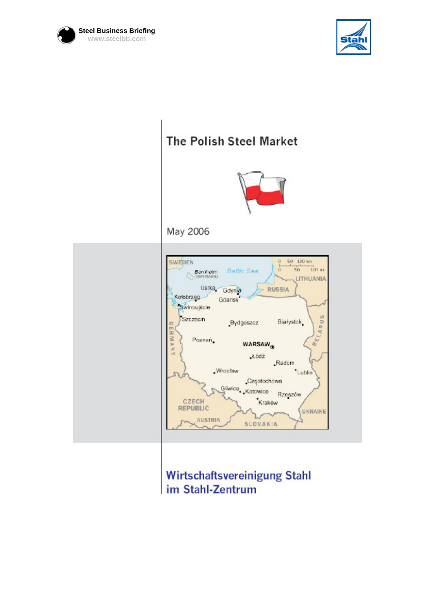



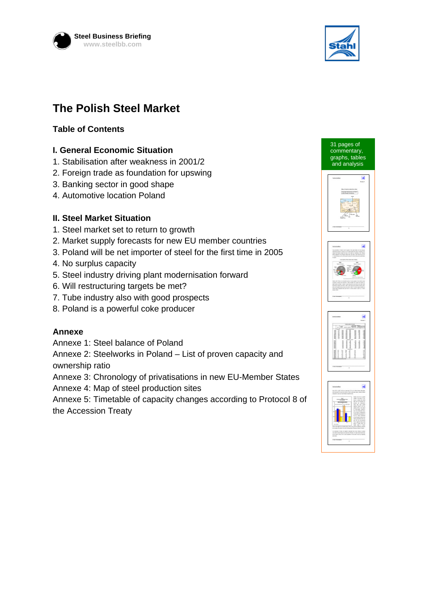



# **The Polish Steel Market**

## **Table of Contents**

#### **I. General Economic Situation**

- 1. Stabilisation after weakness in 2001/2
- 2. Foreign trade as foundation for upswing
- 3. Banking sector in good shape
- 4. Automotive location Poland

#### **II. Steel Market Situation**

- 1. Steel market set to return to growth
- 2. Market supply forecasts for new EU member countries
- 3. Poland will be net importer of steel for the first time in 2005
- 4. No surplus capacity
- 5. Steel industry driving plant modernisation forward
- 6. Will restructuring targets be met?
- 7. Tube industry also with good prospects
- 8. Poland is a powerful coke producer

### **Annexe**

Annexe 1: Steel balance of Poland

Annexe 2: Steelworks in Poland – List of proven capacity and ownership ratio

Annexe 3: Chronology of privatisations in new EU-Member States

Annexe 4: Map of steel production sites

Annexe 5: Timetable of capacity changes according to Protocol 8 of the Accession Treaty



31 pages of commentary, graphs, tables